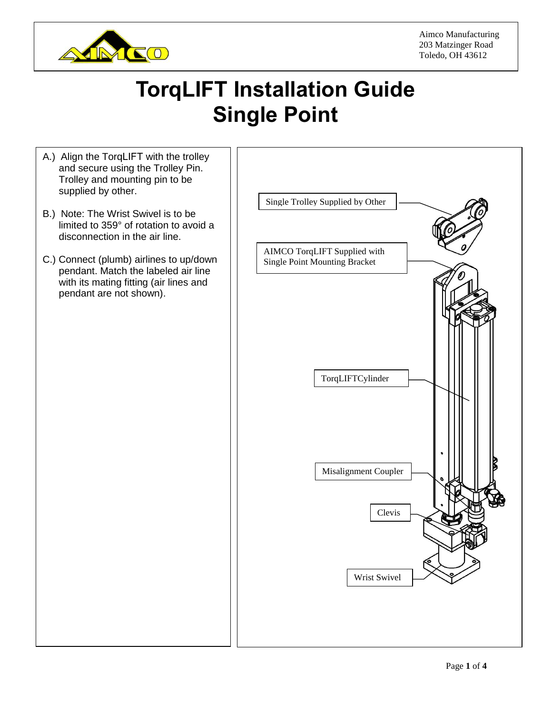

Aimco Manufacturing 203 Matzinger Road Toledo, OH 43612

## **TorqLIFT Installation Guide Single Point**

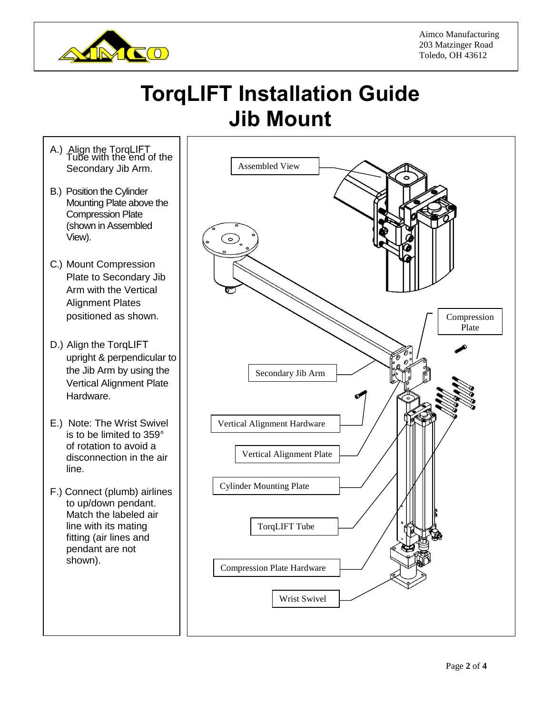

## **TorqLIFT Installation Guide Jib Mount**

- A.) Align the TorqLIFT Tube with the end of the Secondary Jib Arm.
- B.) Position the Cylinder Mounting Plate above the Compression Plate (shown in Assembled View).
- C.) Mount Compression Plate to Secondary Jib Arm with the Vertical Alignment Plates positioned as shown.
- D.) Align the TorqLIFT upright & perpendicular to the Jib Arm by using the Vertical Alignment Plate Hardware.
- E.) Note: The Wrist Swivel is to be limited to 359° of rotation to avoid a disconnection in the air line.
- F.) Connect (plumb) airlines to up/down pendant. Match the labeled air line with its mating fitting (air lines and pendant are not shown).

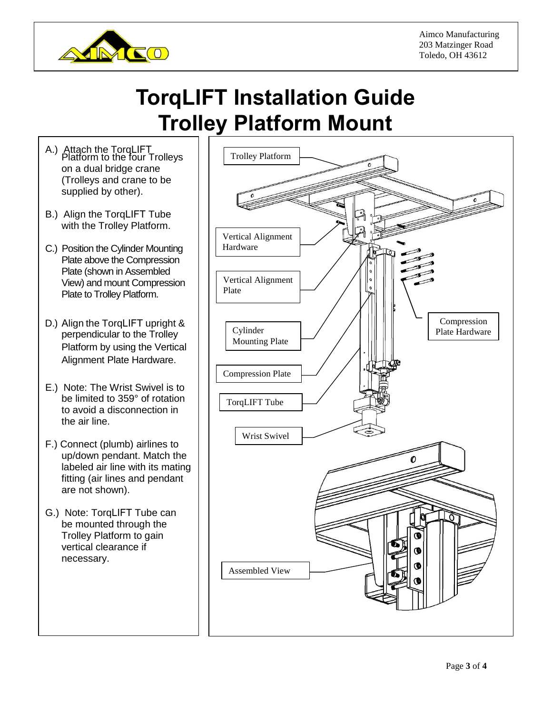

## **TorqLIFT Installation Guide Trolley Platform Mount**

- A.) Attach the TorqLIFT Platform to the four Trolleys on a dual bridge crane (Trolleys and crane to be supplied by other).
- B.) Align the TorqLIFT Tube with the Trolley Platform.
- C.) Position the Cylinder Mounting Plate above the Compression Plate (shown in Assembled View) and mount Compression Plate to Trolley Platform.
- D.) Align the TorqLIFT upright & perpendicular to the Trolley Platform by using the Vertical Alignment Plate Hardware.
- E.) Note: The Wrist Swivel is to be limited to 359° of rotation to avoid a disconnection in the air line.
- F.) Connect (plumb) airlines to up/down pendant. Match the labeled air line with its mating fitting (air lines and pendant are not shown).
- G.) Note: TorqLIFT Tube can be mounted through the Trolley Platform to gain vertical clearance if necessary.